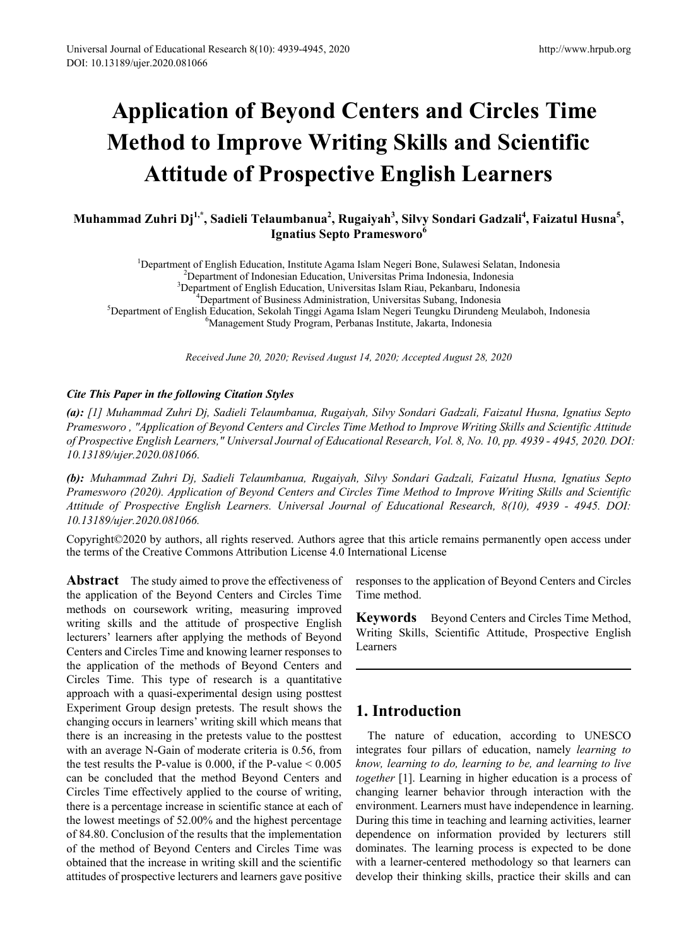# **Application of Beyond Centers and Circles Time Method to Improve Writing Skills and Scientific Attitude of Prospective English Learners**

## **Muhammad Zuhri Dj1,\*, Sadieli Telaumbanua<sup>2</sup> , Rugaiyah3 , Silvy Sondari Gadzali<sup>4</sup> , Faizatul Husna<sup>5</sup> , Ignatius Septo Pramesworo<sup>6</sup>**

<sup>1</sup>Department of English Education, Institute Agama Islam Negeri Bone, Sulawesi Selatan, Indonesia<br><sup>2</sup>Department of Indonesian Education, Universitas Prima Indonesia, Indonesia <sup>2</sup>Department of Indonesian Education, Universitas Prima Indonesia, Indonesia  ${}^{3}$ Department of English Education, Universitas Islam Riau, Pekanbaru, Indonesia  ${}^{4}$ Department of Business Administration, Universitas Subang, Indonesia Department of Business Administration, Universitas Subang, Indonesia<sup>5</sup><br>Department of English Education, Sekolah Tinggi Agama Islam Negeri Teungku Dirundeng Department of English Education, Sekolah Tinggi Agama Islam Negeri Teungku Dirundeng Meulaboh, Indonesia <sup>6</sup> Management Study Program, Perbanas Institute, Jakarta, Indonesia

*Received June 20, 2020; Revised August 14, 2020; Accepted August 28, 2020*

#### *Cite This Paper in the following Citation Styles*

*(a): [1] Muhammad Zuhri Dj, Sadieli Telaumbanua, Rugaiyah, Silvy Sondari Gadzali, Faizatul Husna, Ignatius Septo Pramesworo , "Application of Beyond Centers and Circles Time Method to Improve Writing Skills and Scientific Attitude of Prospective English Learners," Universal Journal of Educational Research, Vol. 8, No. 10, pp. 4939 - 4945, 2020. DOI: 10.13189/ujer.2020.081066.* 

*(b): Muhammad Zuhri Dj, Sadieli Telaumbanua, Rugaiyah, Silvy Sondari Gadzali, Faizatul Husna, Ignatius Septo Pramesworo (2020). Application of Beyond Centers and Circles Time Method to Improve Writing Skills and Scientific Attitude of Prospective English Learners. Universal Journal of Educational Research, 8(10), 4939 - 4945. DOI: 10.13189/ujer.2020.081066.* 

Copyright©2020 by authors, all rights reserved. Authors agree that this article remains permanently open access under the terms of the Creative Commons Attribution License 4.0 International License

**Abstract** The study aimed to prove the effectiveness of the application of the Beyond Centers and Circles Time methods on coursework writing, measuring improved writing skills and the attitude of prospective English lecturers' learners after applying the methods of Beyond Centers and Circles Time and knowing learner responses to the application of the methods of Beyond Centers and Circles Time. This type of research is a quantitative approach with a quasi-experimental design using posttest Experiment Group design pretests. The result shows the changing occurs in learners' writing skill which means that there is an increasing in the pretests value to the posttest with an average N-Gain of moderate criteria is 0.56, from the test results the P-value is  $0.000$ , if the P-value  $\le 0.005$ can be concluded that the method Beyond Centers and Circles Time effectively applied to the course of writing, there is a percentage increase in scientific stance at each of the lowest meetings of 52.00% and the highest percentage of 84.80. Conclusion of the results that the implementation of the method of Beyond Centers and Circles Time was obtained that the increase in writing skill and the scientific attitudes of prospective lecturers and learners gave positive

responses to the application of Beyond Centers and Circles Time method.

**Keywords** Beyond Centers and Circles Time Method, Writing Skills, Scientific Attitude, Prospective English Learners

## **1. Introduction**

The nature of education, according to UNESCO integrates four pillars of education, namely *learning to know, learning to do, learning to be, and learning to live together* [1]. Learning in higher education is a process of changing learner behavior through interaction with the environment. Learners must have independence in learning. During this time in teaching and learning activities, learner dependence on information provided by lecturers still dominates. The learning process is expected to be done with a learner-centered methodology so that learners can develop their thinking skills, practice their skills and can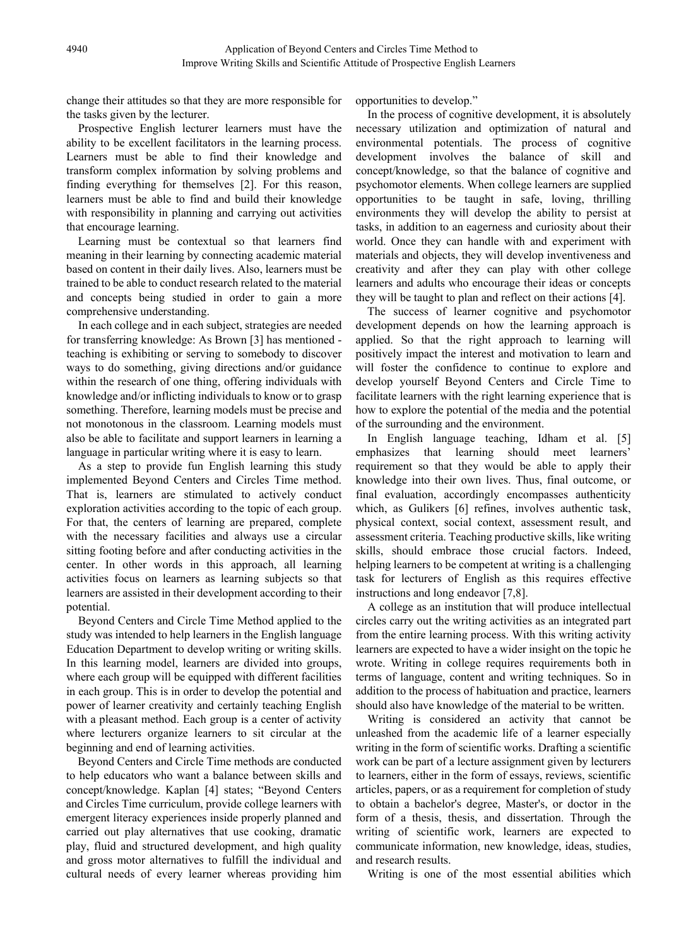change their attitudes so that they are more responsible for the tasks given by the lecturer.

Prospective English lecturer learners must have the ability to be excellent facilitators in the learning process. Learners must be able to find their knowledge and transform complex information by solving problems and finding everything for themselves [2]. For this reason, learners must be able to find and build their knowledge with responsibility in planning and carrying out activities that encourage learning.

Learning must be contextual so that learners find meaning in their learning by connecting academic material based on content in their daily lives. Also, learners must be trained to be able to conduct research related to the material and concepts being studied in order to gain a more comprehensive understanding.

In each college and in each subject, strategies are needed for transferring knowledge: As Brown [3] has mentioned teaching is exhibiting or serving to somebody to discover ways to do something, giving directions and/or guidance within the research of one thing, offering individuals with knowledge and/or inflicting individuals to know or to grasp something. Therefore, learning models must be precise and not monotonous in the classroom. Learning models must also be able to facilitate and support learners in learning a language in particular writing where it is easy to learn.

As a step to provide fun English learning this study implemented Beyond Centers and Circles Time method. That is, learners are stimulated to actively conduct exploration activities according to the topic of each group. For that, the centers of learning are prepared, complete with the necessary facilities and always use a circular sitting footing before and after conducting activities in the center. In other words in this approach, all learning activities focus on learners as learning subjects so that learners are assisted in their development according to their potential.

Beyond Centers and Circle Time Method applied to the study was intended to help learners in the English language Education Department to develop writing or writing skills. In this learning model, learners are divided into groups, where each group will be equipped with different facilities in each group. This is in order to develop the potential and power of learner creativity and certainly teaching English with a pleasant method. Each group is a center of activity where lecturers organize learners to sit circular at the beginning and end of learning activities.

Beyond Centers and Circle Time methods are conducted to help educators who want a balance between skills and concept/knowledge. Kaplan [4] states; "Beyond Centers and Circles Time curriculum, provide college learners with emergent literacy experiences inside properly planned and carried out play alternatives that use cooking, dramatic play, fluid and structured development, and high quality and gross motor alternatives to fulfill the individual and cultural needs of every learner whereas providing him

opportunities to develop."

In the process of cognitive development, it is absolutely necessary utilization and optimization of natural and environmental potentials. The process of cognitive development involves the balance of skill and concept/knowledge, so that the balance of cognitive and psychomotor elements. When college learners are supplied opportunities to be taught in safe, loving, thrilling environments they will develop the ability to persist at tasks, in addition to an eagerness and curiosity about their world. Once they can handle with and experiment with materials and objects, they will develop inventiveness and creativity and after they can play with other college learners and adults who encourage their ideas or concepts they will be taught to plan and reflect on their actions [4].

The success of learner cognitive and psychomotor development depends on how the learning approach is applied. So that the right approach to learning will positively impact the interest and motivation to learn and will foster the confidence to continue to explore and develop yourself Beyond Centers and Circle Time to facilitate learners with the right learning experience that is how to explore the potential of the media and the potential of the surrounding and the environment.

In English language teaching, Idham et al. [5] emphasizes that learning should meet learners' requirement so that they would be able to apply their knowledge into their own lives. Thus, final outcome, or final evaluation, accordingly encompasses authenticity which, as Gulikers [6] refines, involves authentic task, physical context, social context, assessment result, and assessment criteria. Teaching productive skills, like writing skills, should embrace those crucial factors. Indeed, helping learners to be competent at writing is a challenging task for lecturers of English as this requires effective instructions and long endeavor [7,8].

A college as an institution that will produce intellectual circles carry out the writing activities as an integrated part from the entire learning process. With this writing activity learners are expected to have a wider insight on the topic he wrote. Writing in college requires requirements both in terms of language, content and writing techniques. So in addition to the process of habituation and practice, learners should also have knowledge of the material to be written.

Writing is considered an activity that cannot be unleashed from the academic life of a learner especially writing in the form of scientific works. Drafting a scientific work can be part of a lecture assignment given by lecturers to learners, either in the form of essays, reviews, scientific articles, papers, or as a requirement for completion of study to obtain a bachelor's degree, Master's, or doctor in the form of a thesis, thesis, and dissertation. Through the writing of scientific work, learners are expected to communicate information, new knowledge, ideas, studies, and research results.

Writing is one of the most essential abilities which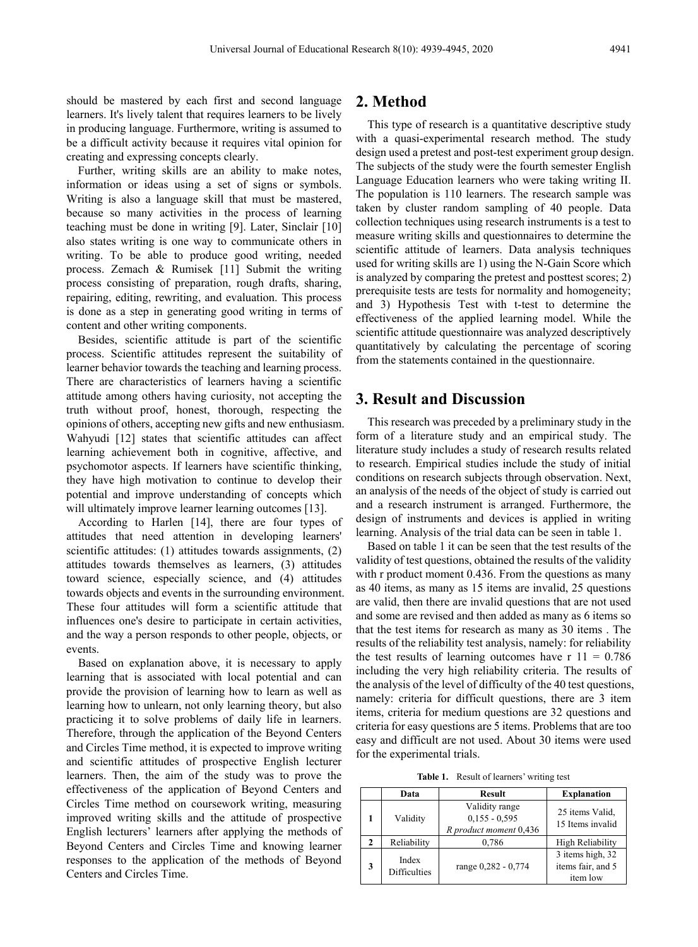should be mastered by each first and second language learners. It's lively talent that requires learners to be lively in producing language. Furthermore, writing is assumed to be a difficult activity because it requires vital opinion for creating and expressing concepts clearly.

Further, writing skills are an ability to make notes, information or ideas using a set of signs or symbols. Writing is also a language skill that must be mastered, because so many activities in the process of learning teaching must be done in writing [9]. Later, Sinclair [10] also states writing is one way to communicate others in writing. To be able to produce good writing, needed process. Zemach & Rumisek [11] Submit the writing process consisting of preparation, rough drafts, sharing, repairing, editing, rewriting, and evaluation. This process is done as a step in generating good writing in terms of content and other writing components.

Besides, scientific attitude is part of the scientific process. Scientific attitudes represent the suitability of learner behavior towards the teaching and learning process. There are characteristics of learners having a scientific attitude among others having curiosity, not accepting the truth without proof, honest, thorough, respecting the opinions of others, accepting new gifts and new enthusiasm. Wahyudi [12] states that scientific attitudes can affect learning achievement both in cognitive, affective, and psychomotor aspects. If learners have scientific thinking, they have high motivation to continue to develop their potential and improve understanding of concepts which will ultimately improve learner learning outcomes [13].

According to Harlen [14], there are four types of attitudes that need attention in developing learners' scientific attitudes: (1) attitudes towards assignments, (2) attitudes towards themselves as learners, (3) attitudes toward science, especially science, and (4) attitudes towards objects and events in the surrounding environment. These four attitudes will form a scientific attitude that influences one's desire to participate in certain activities, and the way a person responds to other people, objects, or events.

Based on explanation above, it is necessary to apply learning that is associated with local potential and can provide the provision of learning how to learn as well as learning how to unlearn, not only learning theory, but also practicing it to solve problems of daily life in learners. Therefore, through the application of the Beyond Centers and Circles Time method, it is expected to improve writing and scientific attitudes of prospective English lecturer learners. Then, the aim of the study was to prove the effectiveness of the application of Beyond Centers and Circles Time method on coursework writing, measuring improved writing skills and the attitude of prospective English lecturers' learners after applying the methods of Beyond Centers and Circles Time and knowing learner responses to the application of the methods of Beyond Centers and Circles Time.

### **2. Method**

This type of research is a quantitative descriptive study with a quasi-experimental research method. The study design used a pretest and post-test experiment group design. The subjects of the study were the fourth semester English Language Education learners who were taking writing II. The population is 110 learners. The research sample was taken by cluster random sampling of 40 people. Data collection techniques using research instruments is a test to measure writing skills and questionnaires to determine the scientific attitude of learners. Data analysis techniques used for writing skills are 1) using the N-Gain Score which is analyzed by comparing the pretest and posttest scores; 2) prerequisite tests are tests for normality and homogeneity; and 3) Hypothesis Test with t-test to determine the effectiveness of the applied learning model. While the scientific attitude questionnaire was analyzed descriptively quantitatively by calculating the percentage of scoring from the statements contained in the questionnaire.

## **3. Result and Discussion**

This research was preceded by a preliminary study in the form of a literature study and an empirical study. The literature study includes a study of research results related to research. Empirical studies include the study of initial conditions on research subjects through observation. Next, an analysis of the needs of the object of study is carried out and a research instrument is arranged. Furthermore, the design of instruments and devices is applied in writing learning. Analysis of the trial data can be seen in table 1.

Based on table 1 it can be seen that the test results of the validity of test questions, obtained the results of the validity with r product moment 0.436. From the questions as many as 40 items, as many as 15 items are invalid, 25 questions are valid, then there are invalid questions that are not used and some are revised and then added as many as 6 items so that the test items for research as many as 30 items . The results of the reliability test analysis, namely: for reliability the test results of learning outcomes have  $r = 11 = 0.786$ including the very high reliability criteria. The results of the analysis of the level of difficulty of the 40 test questions, namely: criteria for difficult questions, there are 3 item items, criteria for medium questions are 32 questions and criteria for easy questions are 5 items. Problems that are too easy and difficult are not used. About 30 items were used for the experimental trials.

**Table 1.** Result of learners' writing test

|              | Data                         | <b>Result</b>                                               | <b>Explanation</b>                                |
|--------------|------------------------------|-------------------------------------------------------------|---------------------------------------------------|
|              | Validity                     | Validity range<br>$0.155 - 0.595$<br>R product moment 0,436 | 25 items Valid.<br>15 Items invalid               |
| $\mathbf{2}$ | Reliability                  | 0,786                                                       | High Reliability                                  |
| 3            | Index<br><b>Difficulties</b> | range 0,282 - 0,774                                         | 3 items high, 32<br>items fair, and 5<br>item low |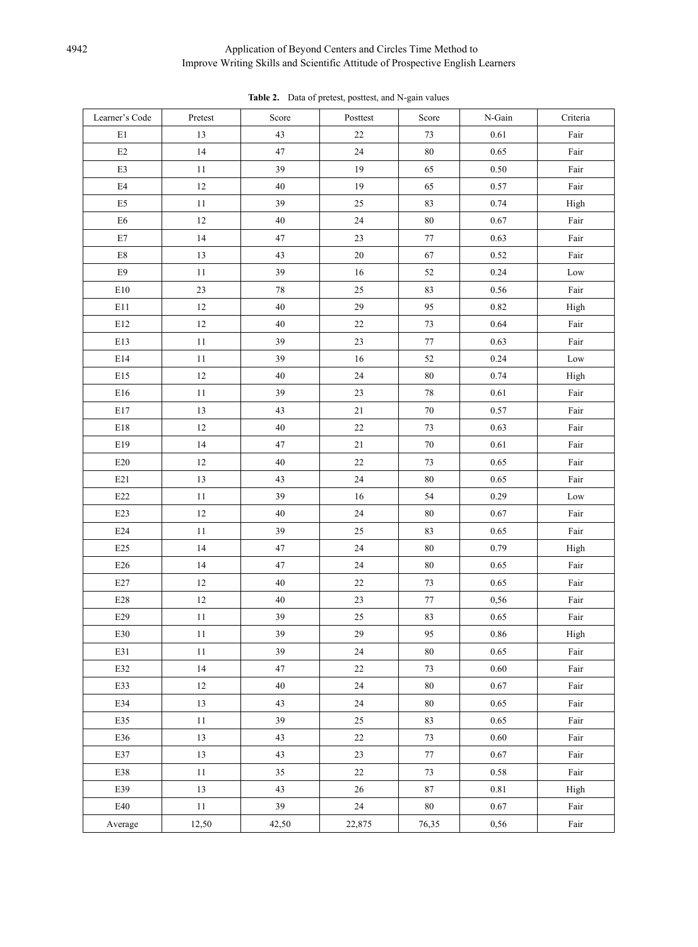#### 4942 Application of Beyond Centers and Circles Time Method to Improve Writing Skills and Scientific Attitude of Prospective English Learners

| Learner's Code            | Pretest | Score  | Posttest | Score    | N-Gain   | Criteria |
|---------------------------|---------|--------|----------|----------|----------|----------|
| E1                        | 13      | 43     | 22       | 73       | 0.61     | Fair     |
| $\rm E2$                  | 14      | 47     | 24       | 80       | 0.65     | Fair     |
| $\mathop{\mathrm{E3}}$    | 11      | 39     | 19       | 65       | 0.50     | Fair     |
| E4                        | 12      | $40\,$ | 19       | 65       | 0.57     | Fair     |
| $\mathop{\hbox{\rm E}} 5$ | 11      | 39     | 25       | 83       | 0.74     | High     |
| E6                        | 12      | $40\,$ | 24       | 80       | 0.67     | Fair     |
| $\rm E7$                  | 14      | 47     | 23       | $77\,$   | 0.63     | Fair     |
| $\rm E8$                  | 13      | 43     | $20\,$   | 67       | 0.52     | Fair     |
| E9                        | 11      | 39     | 16       | 52       | 0.24     | Low      |
| E10                       | 23      | 78     | $25\,$   | 83       | 0.56     | Fair     |
| E11                       | 12      | 40     | 29       | 95       | 0.82     | High     |
| $\rm E12$                 | 12      | 40     | $22\,$   | 73       | 0.64     | Fair     |
| E13                       | 11      | 39     | 23       | 77       | 0.63     | Fair     |
| $\rm E14$                 | 11      | 39     | 16       | 52       | 0.24     | Low      |
| E15                       | 12      | $40\,$ | 24       | 80       | 0.74     | High     |
| $\rm E16$                 | 11      | 39     | 23       | $78\,$   | 0.61     | Fair     |
| $\rm E17$                 | 13      | 43     | 21       | 70       | 0.57     | Fair     |
| $\rm E18$                 | 12      | $40\,$ | $22\,$   | 73       | 0.63     | Fair     |
| E19                       | 14      | 47     | 21       | 70       | 0.61     | Fair     |
| E20                       | 12      | 40     | $22\,$   | 73       | 0.65     | Fair     |
| E21                       | 13      | 43     | 24       | 80       | 0.65     | Fair     |
| E22                       | 11      | 39     | 16       | 54       | 0.29     | Low      |
| E23                       | 12      | $40\,$ | 24       | 80       | 0.67     | Fair     |
| E24                       | 11      | 39     | 25       | 83       | 0.65     | Fair     |
| $\mathbf{E}25$            | 14      | 47     | 24       | $80\,$   | 0.79     | High     |
| E26                       | 14      | 47     | 24       | 80       | 0.65     | Fair     |
| $\rm E27$                 | 12      | $40\,$ | 22       | 73       | 0.65     | Fair     |
| $\rm E28$                 | 12      | $40\,$ | 23       | 77       | 0,56     | Fair     |
| E29                       | 11      | 39     | 25       | 83       | 0.65     | Fair     |
| E30                       | 11      | 39     | 29       | 95       | 0.86     | High     |
| E31                       | 11      | 39     | 24       | $80\,$   | 0.65     | Fair     |
| E32                       | $14$    | 47     | $22\,$   | 73       | $0.60\,$ | Fair     |
| E33                       | $12\,$  | 40     | 24       | $80\,$   | $0.67\,$ | Fair     |
| E34                       | 13      | 43     | 24       | $\bf 80$ | 0.65     | Fair     |
| E35                       | $11\,$  | 39     | $25\,$   | 83       | 0.65     | Fair     |
| E36                       | 13      | 43     | $22\,$   | $73\,$   | 0.60     | Fair     |
| E37                       | 13      | 43     | $23\,$   | $77\,$   | $0.67\,$ | Fair     |
| E38                       | 11      | 35     | $22\,$   | 73       | 0.58     | Fair     |
| E39                       | 13      | 43     | $26\,$   | 87       | 0.81     | High     |
| E40                       | 11      | 39     | 24       | $80\,$   | 0.67     | Fair     |
| Average                   | 12,50   | 42,50  | 22,875   | 76,35    | 0,56     | Fair     |

**Table 2.** Data of pretest, posttest, and N-gain values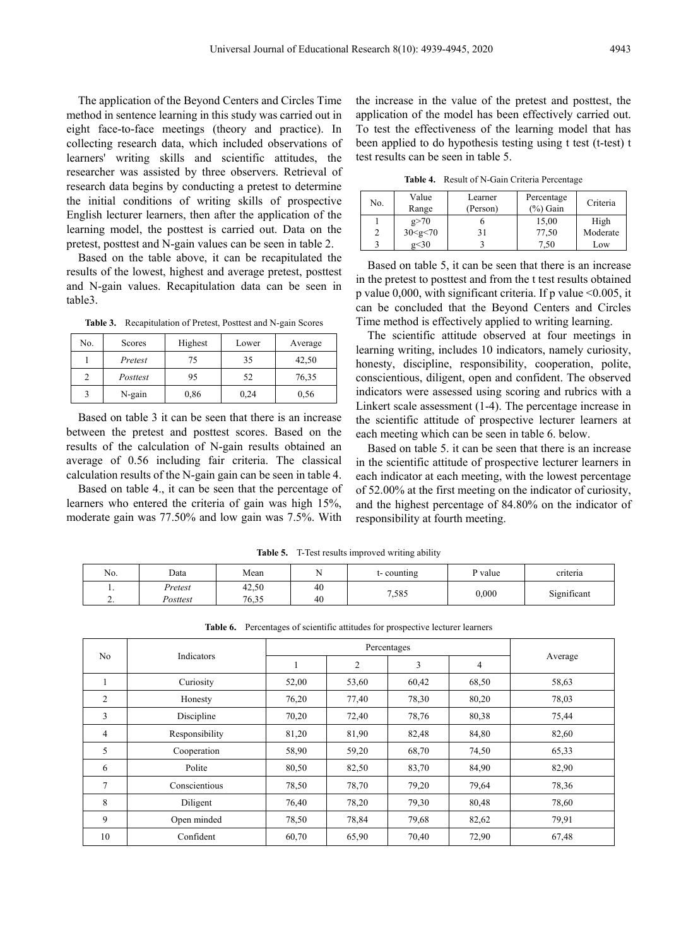The application of the Beyond Centers and Circles Time method in sentence learning in this study was carried out in eight face-to-face meetings (theory and practice). In collecting research data, which included observations of learners' writing skills and scientific attitudes, the researcher was assisted by three observers. Retrieval of research data begins by conducting a pretest to determine the initial conditions of writing skills of prospective English lecturer learners, then after the application of the learning model, the posttest is carried out. Data on the pretest, posttest and N-gain values can be seen in table 2.

Based on the table above, it can be recapitulated the results of the lowest, highest and average pretest, posttest and N-gain values. Recapitulation data can be seen in table3.

**Table 3.** Recapitulation of Pretest, Posttest and N-gain Scores

| No. | Scores   | Highest | Lower | Average |
|-----|----------|---------|-------|---------|
|     | Pretest  | 75      | 35    | 42,50   |
|     | Posttest | 95      | 52    | 76,35   |
|     | N-gain   | 0,86    | 0,24  | 0,56    |

Based on table 3 it can be seen that there is an increase between the pretest and posttest scores. Based on the results of the calculation of N-gain results obtained an average of 0.56 including fair criteria. The classical calculation results of the N-gain gain can be seen in table 4.

Based on table 4., it can be seen that the percentage of learners who entered the criteria of gain was high 15%, moderate gain was 77.50% and low gain was 7.5%. With

the increase in the value of the pretest and posttest, the application of the model has been effectively carried out. To test the effectiveness of the learning model that has been applied to do hypothesis testing using t test (t-test) t test results can be seen in table 5.

**Table 4.** Result of N-Gain Criteria Percentage

| No. | Value<br>Range | Learner<br>(Person) | Percentage<br>$(\%)$ Gain | Criteria |
|-----|----------------|---------------------|---------------------------|----------|
|     | g > 70         |                     | 15,00                     | High     |
|     | 30 < g < 70    | 31                  | 77,50                     | Moderate |
|     | g<30           |                     | '.50                      | Low      |

Based on table 5, it can be seen that there is an increase in the pretest to posttest and from the t test results obtained p value 0,000, with significant criteria. If p value  $\leq 0.005$ , it can be concluded that the Beyond Centers and Circles Time method is effectively applied to writing learning.

The scientific attitude observed at four meetings in learning writing, includes 10 indicators, namely curiosity, honesty, discipline, responsibility, cooperation, polite, conscientious, diligent, open and confident. The observed indicators were assessed using scoring and rubrics with a Linkert scale assessment (1-4). The percentage increase in the scientific attitude of prospective lecturer learners at each meeting which can be seen in table 6. below.

Based on table 5. it can be seen that there is an increase in the scientific attitude of prospective lecturer learners in each indicator at each meeting, with the lowest percentage of 52.00% at the first meeting on the indicator of curiosity, and the highest percentage of 84.80% on the indicator of responsibility at fourth meeting.

| No.      | Data     | Mean  |    | t-counting | P value | criteria    |
|----------|----------|-------|----|------------|---------|-------------|
| . .      | Pretest  | 42,50 | 40 |            | 0,000   |             |
| <u>.</u> | Posttest | 76,35 | 40 | 7.585      |         | Significant |

**Table 5.** T-Test results improved writing ability

**Table 6.** Percentages of scientific attitudes for prospective lecturer learners

| N <sub>o</sub> | Indicators     | Percentages |       |       |                |         |
|----------------|----------------|-------------|-------|-------|----------------|---------|
|                |                |             | 2     | 3     | $\overline{4}$ | Average |
|                | Curiosity      | 52,00       | 53,60 | 60,42 | 68,50          | 58,63   |
| 2              | Honesty        | 76,20       | 77,40 | 78,30 | 80,20          | 78,03   |
| 3              | Discipline     | 70,20       | 72,40 | 78,76 | 80,38          | 75,44   |
| 4              | Responsibility | 81,20       | 81,90 | 82,48 | 84,80          | 82,60   |
| 5              | Cooperation    | 58,90       | 59,20 | 68,70 | 74,50          | 65,33   |
| 6              | Polite         | 80,50       | 82,50 | 83,70 | 84,90          | 82,90   |
| 7              | Conscientious  | 78,50       | 78,70 | 79,20 | 79,64          | 78,36   |
| 8              | Diligent       | 76,40       | 78,20 | 79,30 | 80,48          | 78,60   |
| 9              | Open minded    | 78,50       | 78,84 | 79,68 | 82,62          | 79,91   |
| 10             | Confident      | 60,70       | 65,90 | 70,40 | 72,90          | 67,48   |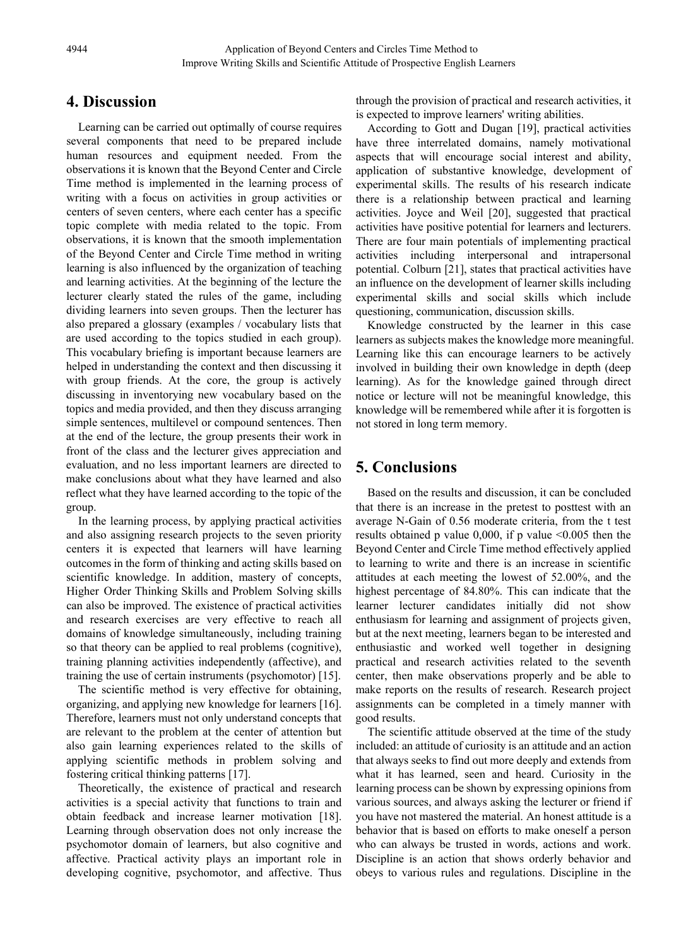## **4. Discussion**

Learning can be carried out optimally of course requires several components that need to be prepared include human resources and equipment needed. From the observations it is known that the Beyond Center and Circle Time method is implemented in the learning process of writing with a focus on activities in group activities or centers of seven centers, where each center has a specific topic complete with media related to the topic. From observations, it is known that the smooth implementation of the Beyond Center and Circle Time method in writing learning is also influenced by the organization of teaching and learning activities. At the beginning of the lecture the lecturer clearly stated the rules of the game, including dividing learners into seven groups. Then the lecturer has also prepared a glossary (examples / vocabulary lists that are used according to the topics studied in each group). This vocabulary briefing is important because learners are helped in understanding the context and then discussing it with group friends. At the core, the group is actively discussing in inventorying new vocabulary based on the topics and media provided, and then they discuss arranging simple sentences, multilevel or compound sentences. Then at the end of the lecture, the group presents their work in front of the class and the lecturer gives appreciation and evaluation, and no less important learners are directed to make conclusions about what they have learned and also reflect what they have learned according to the topic of the group.

In the learning process, by applying practical activities and also assigning research projects to the seven priority centers it is expected that learners will have learning outcomes in the form of thinking and acting skills based on scientific knowledge. In addition, mastery of concepts, Higher Order Thinking Skills and Problem Solving skills can also be improved. The existence of practical activities and research exercises are very effective to reach all domains of knowledge simultaneously, including training so that theory can be applied to real problems (cognitive), training planning activities independently (affective), and training the use of certain instruments (psychomotor) [15].

The scientific method is very effective for obtaining, organizing, and applying new knowledge for learners [16]. Therefore, learners must not only understand concepts that are relevant to the problem at the center of attention but also gain learning experiences related to the skills of applying scientific methods in problem solving and fostering critical thinking patterns [17].

Theoretically, the existence of practical and research activities is a special activity that functions to train and obtain feedback and increase learner motivation [18]. Learning through observation does not only increase the psychomotor domain of learners, but also cognitive and affective. Practical activity plays an important role in developing cognitive, psychomotor, and affective. Thus

through the provision of practical and research activities, it is expected to improve learners' writing abilities.

According to Gott and Dugan [19], practical activities have three interrelated domains, namely motivational aspects that will encourage social interest and ability, application of substantive knowledge, development of experimental skills. The results of his research indicate there is a relationship between practical and learning activities. Joyce and Weil [20], suggested that practical activities have positive potential for learners and lecturers. There are four main potentials of implementing practical activities including interpersonal and intrapersonal potential. Colburn [21], states that practical activities have an influence on the development of learner skills including experimental skills and social skills which include questioning, communication, discussion skills.

Knowledge constructed by the learner in this case learners as subjects makes the knowledge more meaningful. Learning like this can encourage learners to be actively involved in building their own knowledge in depth (deep learning). As for the knowledge gained through direct notice or lecture will not be meaningful knowledge, this knowledge will be remembered while after it is forgotten is not stored in long term memory.

# **5. Conclusions**

Based on the results and discussion, it can be concluded that there is an increase in the pretest to posttest with an average N-Gain of 0.56 moderate criteria, from the t test results obtained p value  $0,000$ , if p value  $\leq 0.005$  then the Beyond Center and Circle Time method effectively applied to learning to write and there is an increase in scientific attitudes at each meeting the lowest of 52.00%, and the highest percentage of 84.80%. This can indicate that the learner lecturer candidates initially did not show enthusiasm for learning and assignment of projects given, but at the next meeting, learners began to be interested and enthusiastic and worked well together in designing practical and research activities related to the seventh center, then make observations properly and be able to make reports on the results of research. Research project assignments can be completed in a timely manner with good results.

The scientific attitude observed at the time of the study included: an attitude of curiosity is an attitude and an action that always seeks to find out more deeply and extends from what it has learned, seen and heard. Curiosity in the learning process can be shown by expressing opinions from various sources, and always asking the lecturer or friend if you have not mastered the material. An honest attitude is a behavior that is based on efforts to make oneself a person who can always be trusted in words, actions and work. Discipline is an action that shows orderly behavior and obeys to various rules and regulations. Discipline in the